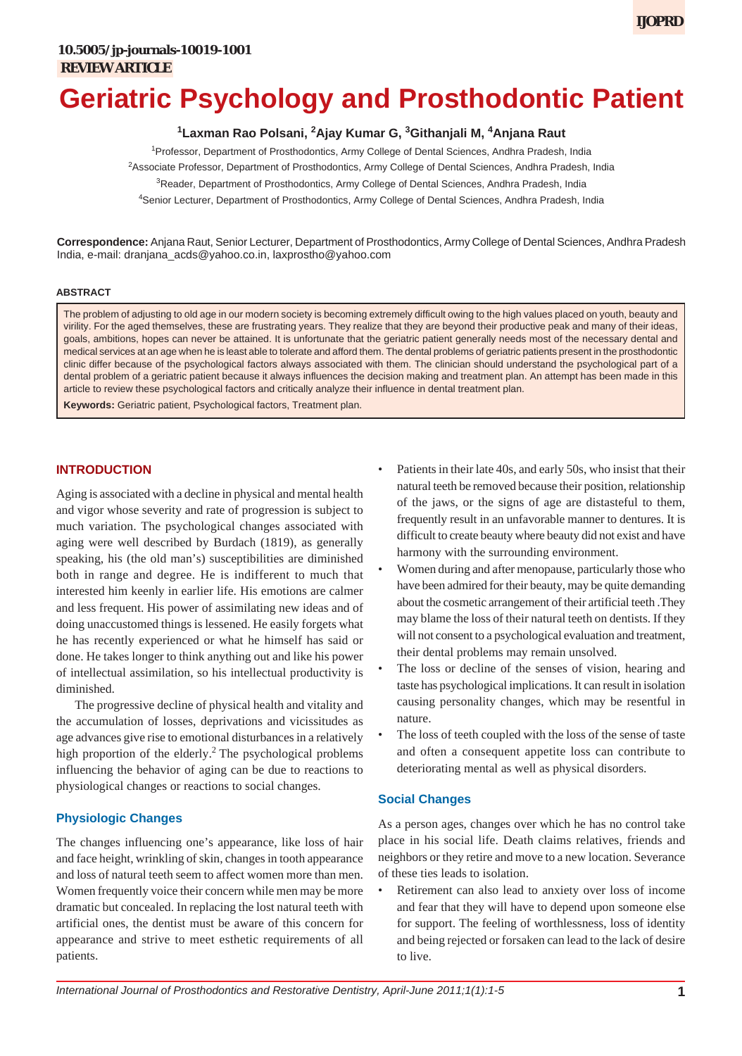# **Geriatric Psychology and Prosthodontic Patient**

<sup>1</sup>Laxman Rao Polsani, <sup>2</sup>Ajay Kumar G, <sup>3</sup>Githanjali M, <sup>4</sup>Anjana Raut

1 Professor, Department of Prosthodontics, Army College of Dental Sciences, Andhra Pradesh, India 2 Associate Professor, Department of Prosthodontics, Army College of Dental Sciences, Andhra Pradesh, India

<sup>3</sup>Reader, Department of Prosthodontics, Army College of Dental Sciences, Andhra Pradesh, India

4 Senior Lecturer, Department of Prosthodontics, Army College of Dental Sciences, Andhra Pradesh, India

**Correspondence:** Anjana Raut, Senior Lecturer, Department of Prosthodontics, Army College of Dental Sciences, Andhra Pradesh India, e-mail: dranjana\_acds@yahoo.co.in, laxprostho@yahoo.com

#### **ABSTRACT**

The problem of adjusting to old age in our modern society is becoming extremely difficult owing to the high values placed on youth, beauty and virility. For the aged themselves, these are frustrating years. They realize that they are beyond their productive peak and many of their ideas, goals, ambitions, hopes can never be attained. It is unfortunate that the geriatric patient generally needs most of the necessary dental and medical services at an age when he is least able to tolerate and afford them. The dental problems of geriatric patients present in the prosthodontic clinic differ because of the psychological factors always associated with them. The clinician should understand the psychological part of a dental problem of a geriatric patient because it always influences the decision making and treatment plan. An attempt has been made in this article to review these psychological factors and critically analyze their influence in dental treatment plan.

**Keywords:** Geriatric patient, Psychological factors, Treatment plan.

## **INTRODUCTION**

Aging is associated with a decline in physical and mental health and vigor whose severity and rate of progression is subject to much variation. The psychological changes associated with aging were well described by Burdach (1819), as generally speaking, his (the old man's) susceptibilities are diminished both in range and degree. He is indifferent to much that interested him keenly in earlier life. His emotions are calmer and less frequent. His power of assimilating new ideas and of doing unaccustomed things is lessened. He easily forgets what he has recently experienced or what he himself has said or done. He takes longer to think anything out and like his power of intellectual assimilation, so his intellectual productivity is diminished.

The progressive decline of physical health and vitality and the accumulation of losses, deprivations and vicissitudes as age advances give rise to emotional disturbances in a relatively high proportion of the elderly.<sup>2</sup> The psychological problems influencing the behavior of aging can be due to reactions to physiological changes or reactions to social changes.

### **Physiologic Changes**

The changes influencing one's appearance, like loss of hair and face height, wrinkling of skin, changes in tooth appearance and loss of natural teeth seem to affect women more than men. Women frequently voice their concern while men may be more dramatic but concealed. In replacing the lost natural teeth with artificial ones, the dentist must be aware of this concern for appearance and strive to meet esthetic requirements of all patients.

- Patients in their late 40s, and early 50s, who insist that their natural teeth be removed because their position, relationship of the jaws, or the signs of age are distasteful to them, frequently result in an unfavorable manner to dentures. It is difficult to create beauty where beauty did not exist and have harmony with the surrounding environment.
- Women during and after menopause, particularly those who have been admired for their beauty, may be quite demanding about the cosmetic arrangement of their artificial teeth .They may blame the loss of their natural teeth on dentists. If they will not consent to a psychological evaluation and treatment, their dental problems may remain unsolved.
- The loss or decline of the senses of vision, hearing and taste has psychological implications. It can result in isolation causing personality changes, which may be resentful in nature.
- The loss of teeth coupled with the loss of the sense of taste and often a consequent appetite loss can contribute to deteriorating mental as well as physical disorders.

#### **Social Changes**

As a person ages, changes over which he has no control take place in his social life. Death claims relatives, friends and neighbors or they retire and move to a new location. Severance of these ties leads to isolation.

• Retirement can also lead to anxiety over loss of income and fear that they will have to depend upon someone else for support. The feeling of worthlessness, loss of identity and being rejected or forsaken can lead to the lack of desire to live.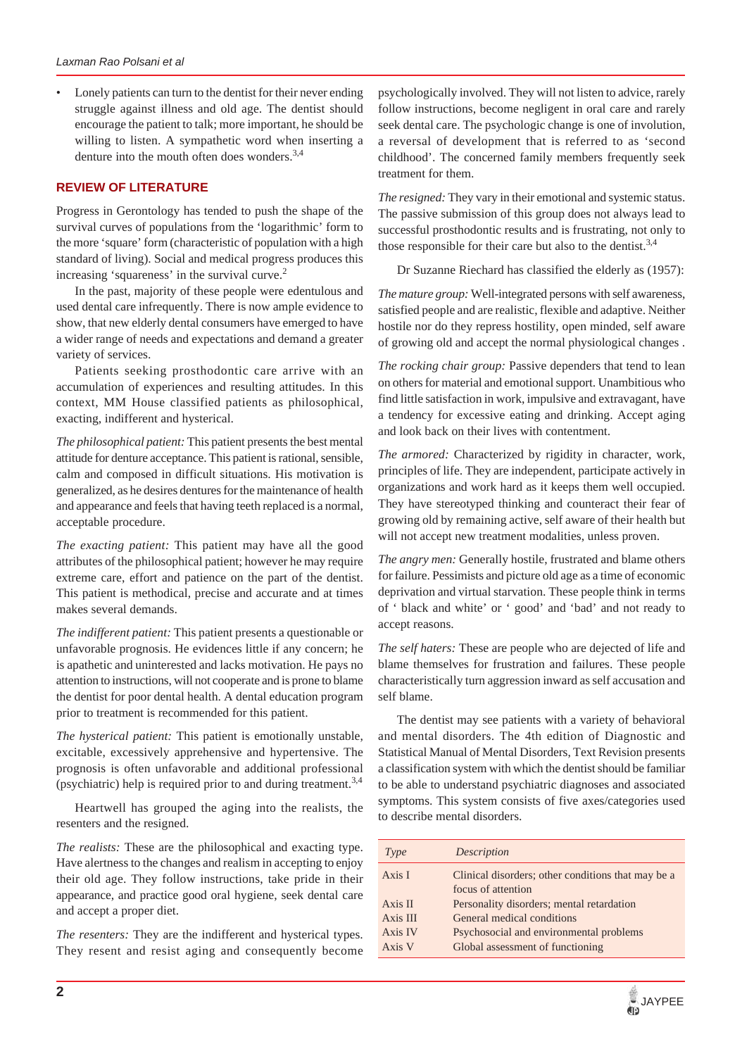• Lonely patients can turn to the dentist for their never ending struggle against illness and old age. The dentist should encourage the patient to talk; more important, he should be willing to listen. A sympathetic word when inserting a denture into the mouth often does wonders.3,4

## **REVIEW OF LITERATURE**

Progress in Gerontology has tended to push the shape of the survival curves of populations from the 'logarithmic' form to the more 'square' form (characteristic of population with a high standard of living). Social and medical progress produces this increasing 'squareness' in the survival curve.<sup>2</sup>

In the past, majority of these people were edentulous and used dental care infrequently. There is now ample evidence to show, that new elderly dental consumers have emerged to have a wider range of needs and expectations and demand a greater variety of services.

Patients seeking prosthodontic care arrive with an accumulation of experiences and resulting attitudes. In this context, MM House classified patients as philosophical, exacting, indifferent and hysterical.

*The philosophical patient:* This patient presents the best mental attitude for denture acceptance. This patient is rational, sensible, calm and composed in difficult situations. His motivation is generalized, as he desires dentures for the maintenance of health and appearance and feels that having teeth replaced is a normal, acceptable procedure.

*The exacting patient:* This patient may have all the good attributes of the philosophical patient; however he may require extreme care, effort and patience on the part of the dentist. This patient is methodical, precise and accurate and at times makes several demands.

*The indifferent patient:* This patient presents a questionable or unfavorable prognosis. He evidences little if any concern; he is apathetic and uninterested and lacks motivation. He pays no attention to instructions, will not cooperate and is prone to blame the dentist for poor dental health. A dental education program prior to treatment is recommended for this patient.

*The hysterical patient:* This patient is emotionally unstable, excitable, excessively apprehensive and hypertensive. The prognosis is often unfavorable and additional professional (psychiatric) help is required prior to and during treatment.<sup>3,4</sup>

Heartwell has grouped the aging into the realists, the resenters and the resigned.

*The realists:* These are the philosophical and exacting type. Have alertness to the changes and realism in accepting to enjoy their old age. They follow instructions, take pride in their appearance, and practice good oral hygiene, seek dental care and accept a proper diet.

*The resenters:* They are the indifferent and hysterical types. They resent and resist aging and consequently become psychologically involved. They will not listen to advice, rarely follow instructions, become negligent in oral care and rarely seek dental care. The psychologic change is one of involution, a reversal of development that is referred to as 'second childhood'. The concerned family members frequently seek treatment for them.

*The resigned:* They vary in their emotional and systemic status. The passive submission of this group does not always lead to successful prosthodontic results and is frustrating, not only to those responsible for their care but also to the dentist.<sup>3,4</sup>

Dr Suzanne Riechard has classified the elderly as (1957):

*The mature group:* Well-integrated persons with self awareness, satisfied people and are realistic, flexible and adaptive. Neither hostile nor do they repress hostility, open minded, self aware of growing old and accept the normal physiological changes .

*The rocking chair group:* Passive dependers that tend to lean on others for material and emotional support. Unambitious who find little satisfaction in work, impulsive and extravagant, have a tendency for excessive eating and drinking. Accept aging and look back on their lives with contentment.

*The armored:* Characterized by rigidity in character, work, principles of life. They are independent, participate actively in organizations and work hard as it keeps them well occupied. They have stereotyped thinking and counteract their fear of growing old by remaining active, self aware of their health but will not accept new treatment modalities, unless proven.

*The angry men:* Generally hostile, frustrated and blame others for failure. Pessimists and picture old age as a time of economic deprivation and virtual starvation. These people think in terms of ' black and white' or ' good' and 'bad' and not ready to accept reasons.

*The self haters:* These are people who are dejected of life and blame themselves for frustration and failures. These people characteristically turn aggression inward as self accusation and self blame.

The dentist may see patients with a variety of behavioral and mental disorders. The 4th edition of Diagnostic and Statistical Manual of Mental Disorders, Text Revision presents a classification system with which the dentist should be familiar to be able to understand psychiatric diagnoses and associated symptoms. This system consists of five axes/categories used to describe mental disorders.

| Type                                     | Description                                                                                                                                            |
|------------------------------------------|--------------------------------------------------------------------------------------------------------------------------------------------------------|
| Axis I                                   | Clinical disorders; other conditions that may be a<br>focus of attention                                                                               |
| Axis II<br>Axis III<br>Axis IV<br>Axis V | Personality disorders; mental retardation<br>General medical conditions<br>Psychosocial and environmental problems<br>Global assessment of functioning |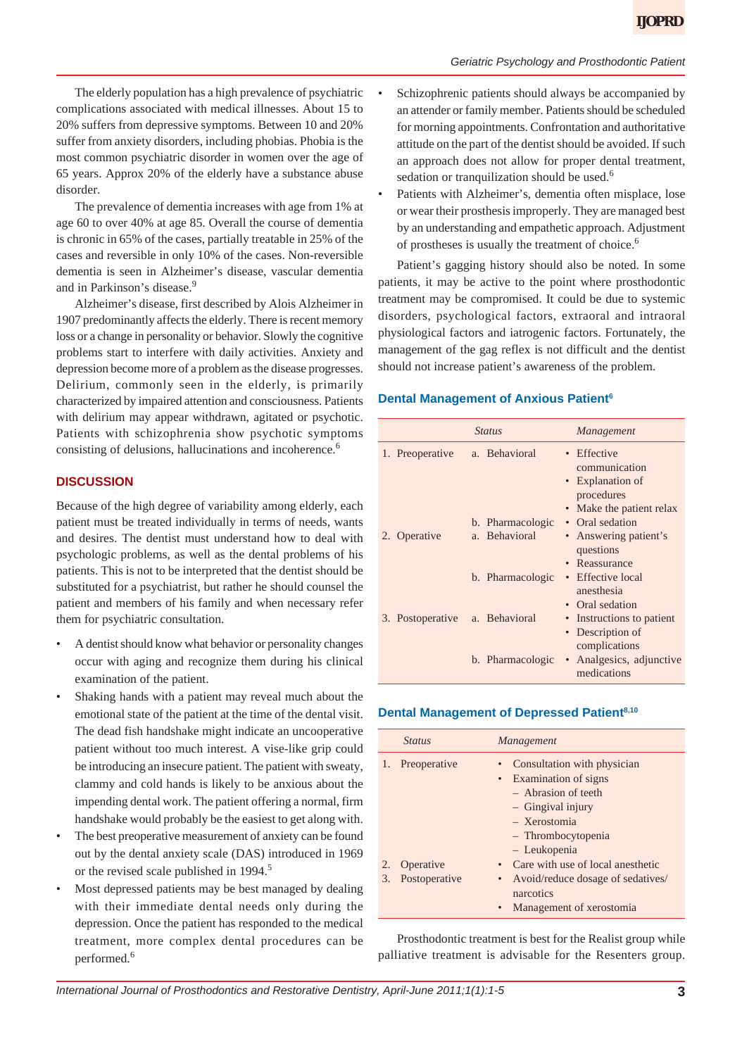#### *Geriatric Psychology and Prosthodontic Patient*

The elderly population has a high prevalence of psychiatric complications associated with medical illnesses. About 15 to 20% suffers from depressive symptoms. Between 10 and 20% suffer from anxiety disorders, including phobias. Phobia is the most common psychiatric disorder in women over the age of 65 years. Approx 20% of the elderly have a substance abuse disorder.

The prevalence of dementia increases with age from 1% at age 60 to over 40% at age 85. Overall the course of dementia is chronic in 65% of the cases, partially treatable in 25% of the cases and reversible in only 10% of the cases. Non-reversible dementia is seen in Alzheimer's disease, vascular dementia and in Parkinson's disease.<sup>9</sup>

Alzheimer's disease, first described by Alois Alzheimer in 1907 predominantly affects the elderly. There is recent memory loss or a change in personality or behavior. Slowly the cognitive problems start to interfere with daily activities. Anxiety and depression become more of a problem as the disease progresses. Delirium, commonly seen in the elderly, is primarily characterized by impaired attention and consciousness. Patients with delirium may appear withdrawn, agitated or psychotic. Patients with schizophrenia show psychotic symptoms consisting of delusions, hallucinations and incoherence.<sup>6</sup>

## **DISCUSSION**

Because of the high degree of variability among elderly, each patient must be treated individually in terms of needs, wants and desires. The dentist must understand how to deal with psychologic problems, as well as the dental problems of his patients. This is not to be interpreted that the dentist should be substituted for a psychiatrist, but rather he should counsel the patient and members of his family and when necessary refer them for psychiatric consultation.

- A dentist should know what behavior or personality changes occur with aging and recognize them during his clinical examination of the patient.
- Shaking hands with a patient may reveal much about the emotional state of the patient at the time of the dental visit. The dead fish handshake might indicate an uncooperative patient without too much interest. A vise-like grip could be introducing an insecure patient. The patient with sweaty, clammy and cold hands is likely to be anxious about the impending dental work. The patient offering a normal, firm handshake would probably be the easiest to get along with.
- The best preoperative measurement of anxiety can be found out by the dental anxiety scale (DAS) introduced in 1969 or the revised scale published in 1994.<sup>5</sup>
- Most depressed patients may be best managed by dealing with their immediate dental needs only during the depression. Once the patient has responded to the medical treatment, more complex dental procedures can be performed.<sup>6</sup>
- Schizophrenic patients should always be accompanied by an attender or family member. Patients should be scheduled for morning appointments. Confrontation and authoritative attitude on the part of the dentist should be avoided. If such an approach does not allow for proper dental treatment, sedation or tranquilization should be used.<sup>6</sup>
- Patients with Alzheimer's, dementia often misplace, lose or wear their prosthesis improperly. They are managed best by an understanding and empathetic approach. Adjustment of prostheses is usually the treatment of choice.<sup>6</sup>

Patient's gagging history should also be noted. In some patients, it may be active to the point where prosthodontic treatment may be compromised. It could be due to systemic disorders, psychological factors, extraoral and intraoral physiological factors and iatrogenic factors. Fortunately, the management of the gag reflex is not difficult and the dentist should not increase patient's awareness of the problem.

#### **Dental Management of Anxious Patient<sup>6</sup>**

|                  | <i>Status</i>                     | Management                                                                               |
|------------------|-----------------------------------|------------------------------------------------------------------------------------------|
| 1. Preoperative  | a. Behavioral                     | • Effective<br>communication<br>Explanation of<br>procedures<br>• Make the patient relax |
| 2. Operative     | b. Pharmacologic<br>a. Behavioral | • Oral sedation<br>Answering patient's<br>questions<br>Reassurance<br>$\bullet$          |
|                  | b. Pharmacologic                  | • Effective local<br>anesthesia<br>• Oral sedation                                       |
| 3. Postoperative | a. Behavioral                     | Instructions to patient<br>Description of<br>complications                               |
|                  | b. Pharmacologic                  | Analgesics, adjunctive<br>$\bullet$<br>medications                                       |

#### **Dental Management of Depressed Patient8,10**

|    | <b>Status</b> | Management                                                                     |
|----|---------------|--------------------------------------------------------------------------------|
| 1. | Preoperative  | Consultation with physician<br>• Examination of signs<br>$-$ Abrasion of teeth |
|    |               | $-$ Gingival injury<br>- Xerostomia<br>- Thrombocytopenia<br>- Leukopenia      |
| 2. | Operative     | • Care with use of local anesthetic                                            |
| 3. | Postoperative | • Avoid/reduce dosage of sedatives/<br>narcotics<br>Management of xerostomia   |

Prosthodontic treatment is best for the Realist group while palliative treatment is advisable for the Resenters group.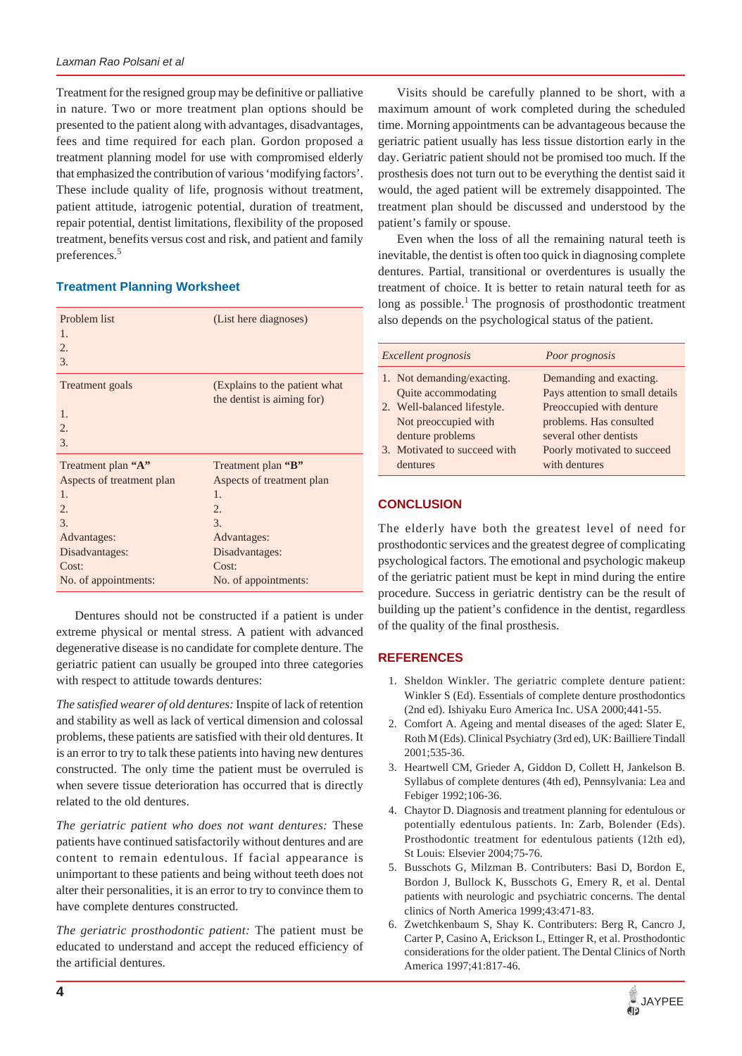Treatment for the resigned group may be definitive or palliative in nature. Two or more treatment plan options should be presented to the patient along with advantages, disadvantages, fees and time required for each plan. Gordon proposed a treatment planning model for use with compromised elderly that emphasized the contribution of various 'modifying factors'. These include quality of life, prognosis without treatment, patient attitude, iatrogenic potential, duration of treatment, repair potential, dentist limitations, flexibility of the proposed treatment, benefits versus cost and risk, and patient and family preferences.5

## **Treatment Planning Worksheet**

| Problem list<br>1.<br>2.<br>3. | (List here diagnoses)         |
|--------------------------------|-------------------------------|
| Treatment goals                | (Explains to the patient what |
|                                | the dentist is aiming for)    |
| 1.                             |                               |
| 2.                             |                               |
| 3.                             |                               |
| Treatment plan "A"             | Treatment plan "B"            |
| Aspects of treatment plan      | Aspects of treatment plan     |
| $\mathbf{1}$ .                 | $\mathbf{1}$ .                |
| 2.                             | $\overline{2}$ .              |
| 3.                             | 3.                            |
| Advantages:                    | Advantages:                   |
| Disadvantages:                 | Disadvantages:                |
| Cost:                          | Cost:                         |
| No. of appointments:           | No. of appointments:          |

Dentures should not be constructed if a patient is under extreme physical or mental stress. A patient with advanced degenerative disease is no candidate for complete denture. The geriatric patient can usually be grouped into three categories with respect to attitude towards dentures:

*The satisfied wearer of old dentures:* Inspite of lack of retention and stability as well as lack of vertical dimension and colossal problems, these patients are satisfied with their old dentures. It is an error to try to talk these patients into having new dentures constructed. The only time the patient must be overruled is when severe tissue deterioration has occurred that is directly related to the old dentures.

*The geriatric patient who does not want dentures:* These patients have continued satisfactorily without dentures and are content to remain edentulous. If facial appearance is unimportant to these patients and being without teeth does not alter their personalities, it is an error to try to convince them to have complete dentures constructed.

*The geriatric prosthodontic patient:* The patient must be educated to understand and accept the reduced efficiency of the artificial dentures.

Visits should be carefully planned to be short, with a maximum amount of work completed during the scheduled time. Morning appointments can be advantageous because the geriatric patient usually has less tissue distortion early in the day. Geriatric patient should not be promised too much. If the prosthesis does not turn out to be everything the dentist said it would, the aged patient will be extremely disappointed. The treatment plan should be discussed and understood by the patient's family or spouse.

Even when the loss of all the remaining natural teeth is inevitable, the dentist is often too quick in diagnosing complete dentures. Partial, transitional or overdentures is usually the treatment of choice. It is better to retain natural teeth for as long as possible.<sup>1</sup> The prognosis of prosthodontic treatment also depends on the psychological status of the patient.

| Excellent prognosis |                              | Poor prognosis                  |
|---------------------|------------------------------|---------------------------------|
|                     | 1. Not demanding/exacting.   | Demanding and exacting.         |
|                     | Quite accommodating          | Pays attention to small details |
|                     | 2. Well-balanced lifestyle.  | Preoccupied with denture        |
|                     | Not preoccupied with         | problems. Has consulted         |
|                     | denture problems             | several other dentists          |
|                     | 3. Motivated to succeed with | Poorly motivated to succeed     |
|                     | dentures                     | with dentures                   |

# **CONCLUSION**

The elderly have both the greatest level of need for prosthodontic services and the greatest degree of complicating psychological factors. The emotional and psychologic makeup of the geriatric patient must be kept in mind during the entire procedure. Success in geriatric dentistry can be the result of building up the patient's confidence in the dentist, regardless of the quality of the final prosthesis.

# **REFERENCES**

- 1. Sheldon Winkler. The geriatric complete denture patient: Winkler S (Ed). Essentials of complete denture prosthodontics (2nd ed). Ishiyaku Euro America Inc. USA 2000;441-55.
- 2. Comfort A. Ageing and mental diseases of the aged: Slater E, Roth M (Eds). Clinical Psychiatry (3rd ed), UK: Bailliere Tindall 2001;535-36.
- 3. Heartwell CM, Grieder A, Giddon D, Collett H, Jankelson B. Syllabus of complete dentures (4th ed), Pennsylvania: Lea and Febiger 1992;106-36.
- 4. Chaytor D. Diagnosis and treatment planning for edentulous or potentially edentulous patients. In: Zarb, Bolender (Eds). Prosthodontic treatment for edentulous patients (12th ed), St Louis: Elsevier 2004;75-76.
- 5. Busschots G, Milzman B. Contributers: Basi D, Bordon E, Bordon J, Bullock K, Busschots G, Emery R, et al. Dental patients with neurologic and psychiatric concerns. The dental clinics of North America 1999;43:471-83.
- 6. Zwetchkenbaum S, Shay K. Contributers: Berg R, Cancro J, Carter P, Casino A, Erickson L, Ettinger R, et al. Prosthodontic considerations for the older patient. The Dental Clinics of North America 1997;41:817-46.